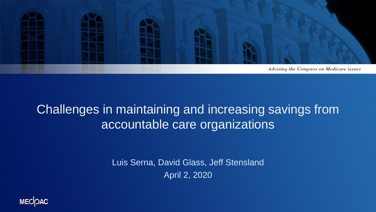

#### Challenges in maintaining and increasing savings from accountable care organizations

Luis Serna, David Glass, Jeff Stensland April 2, 2020

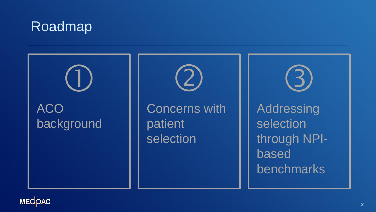### Roadmap



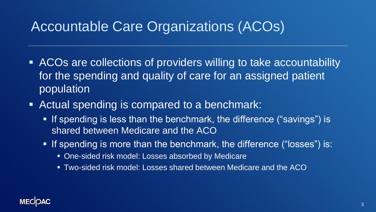### Accountable Care Organizations (ACOs)

- ACOs are collections of providers willing to take accountability for the spending and quality of care for an assigned patient population
- Actual spending is compared to a benchmark:
	- If spending is less than the benchmark, the difference ("savings") is shared between Medicare and the ACO
	- If spending is more than the benchmark, the difference ("losses") is:
		- One-sided risk model: Losses absorbed by Medicare
		- **Two-sided risk model: Losses shared between Medicare and the ACO**

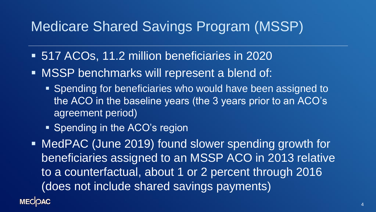### Medicare Shared Savings Program (MSSP)

- 517 ACOs, 11.2 million beneficiaries in 2020
- MSSP benchmarks will represent a blend of:
	- Spending for beneficiaries who would have been assigned to the ACO in the baseline years (the 3 years prior to an ACO's agreement period)
	- Spending in the ACO's region

■ MedPAC (June 2019) found slower spending growth for beneficiaries assigned to an MSSP ACO in 2013 relative to a counterfactual, about 1 or 2 percent through 2016 (does not include shared savings payments)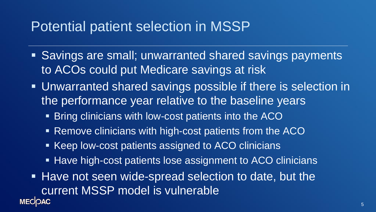### Potential patient selection in MSSP

- Savings are small; unwarranted shared savings payments to ACOs could put Medicare savings at risk
- **Unwarranted shared savings possible if there is selection in** the performance year relative to the baseline years
	- Bring clinicians with low-cost patients into the ACO
	- Remove clinicians with high-cost patients from the ACO
	- Keep low-cost patients assigned to ACO clinicians
	- Have high-cost patients lose assignment to ACO clinicians
- Have not seen wide-spread selection to date, but the current MSSP model is vulnerable **MECOAC**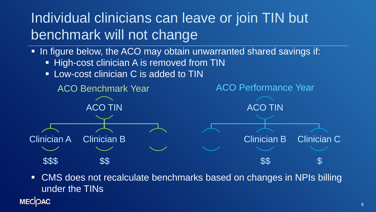# Individual clinicians can leave or join TIN but benchmark will not change

- **.** In figure below, the ACO may obtain unwarranted shared savings if:
	- **EXTERNAL High-cost clinician A is removed from TIN**
	- Low-cost clinician C is added to TIN



■ CMS does not recalculate benchmarks based on changes in NPIs billing under the TINs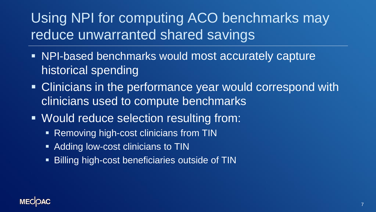# Using NPI for computing ACO benchmarks may reduce unwarranted shared savings

- NPI-based benchmarks would most accurately capture historical spending
- Clinicians in the performance year would correspond with clinicians used to compute benchmarks
- Would reduce selection resulting from:
	- Removing high-cost clinicians from TIN
	- Adding low-cost clinicians to TIN
	- **EXALLEX FIGH-LEX EXALLEX** FIGHT **EXALLEX** FIGHT FIGHT FIGHT FIGHT FIGHT FIGHT FIGHT FIGHT FIGHT FIGHT FIGHT FIGHT FIGHT FIGHT FIGHT FIGHT FIGHT FIGHT FIGHT FIGHT FIGHT FIGHT FIGHT FIGHT FIGHT FIGHT FIGHT FIGHT FIGHT FIG

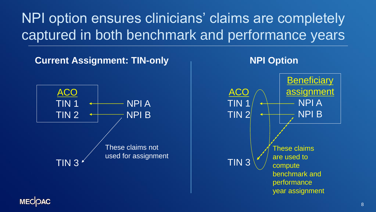NPI option ensures clinicians' claims are completely captured in both benchmark and performance years





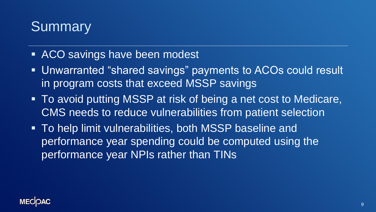### **Summary**

- ACO savings have been modest
- Unwarranted "shared savings" payments to ACOs could result in program costs that exceed MSSP savings
- To avoid putting MSSP at risk of being a net cost to Medicare, CMS needs to reduce vulnerabilities from patient selection
- To help limit vulnerabilities, both MSSP baseline and performance year spending could be computed using the performance year NPIs rather than TINs

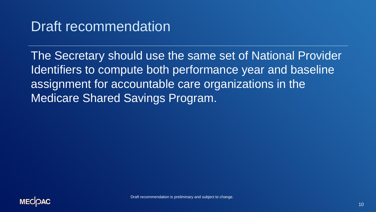### Draft recommendation

The Secretary should use the same set of National Provider Identifiers to compute both performance year and baseline assignment for accountable care organizations in the Medicare Shared Savings Program.

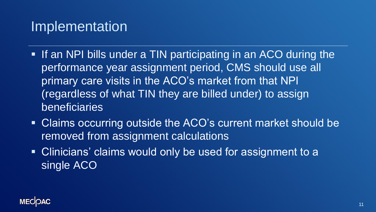#### Implementation

- **.** If an NPI bills under a TIN participating in an ACO during the performance year assignment period, CMS should use all primary care visits in the ACO's market from that NPI (regardless of what TIN they are billed under) to assign beneficiaries
- Claims occurring outside the ACO's current market should be removed from assignment calculations
- Clinicians' claims would only be used for assignment to a single ACO